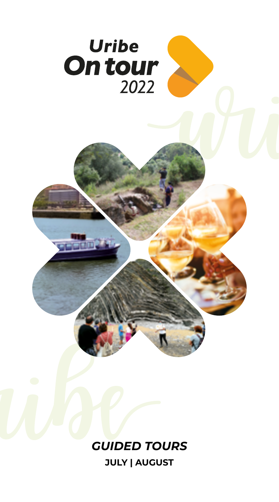

**JULY | AUGUST**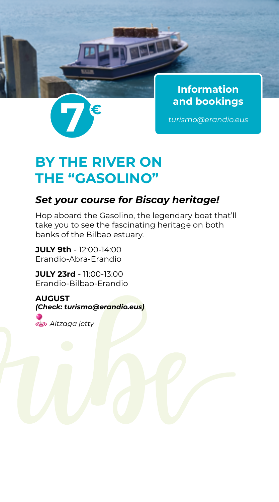

**Information**

# **BY THE RIVER ON THE "GASOLINO"**

### *Set your course for Biscay heritage!*

Hop aboard the Gasolino, the legendary boat that'll take you to see the fascinating heritage on both banks of the Bilbao estuary.

**JULY 9th** - 12:00-14:00 Erandio-Abra-Erandio

**JULY 23rd** - 11:00-13:00 Erandio-Bilbao-Erandio

**AUGUST** *(Check: turismo@erandio.eus) Altzaga jetty*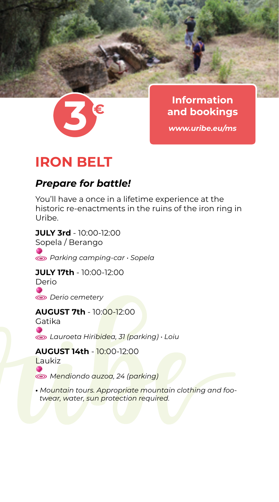

**Information**

## **IRON BELT**

### *Prepare for battle!*

You'll have a once in a lifetime experience at the historic re-enactments in the ruins of the iron ring in Uribe.

**JULY 3rd** - 10:00-12:00 Sopela / Berango  *Parking camping-car • Sopela*

#### **JULY 17th** - 10:00-12:00 Derio

 *Derio cemetery*

#### **AUGUST 7th** - 10:00-12:00

Gatika  *Lauroeta Hiribidea, 31 (parking) • Loiu*

**AUGUST 14th** - 10:00-12:00 Laukiz  *Mendiondo auzoa, 24 (parking)*

*• Mountain tours. Appropriate mountain clothing and footwear, water, sun protection required.*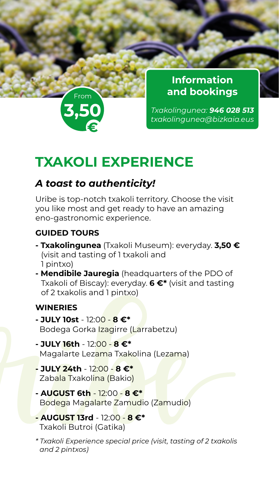

**Information and bookings**

*Txakolingunea: 946 028 513 txakolingunea@bizkaia.eus* **3,50**

## **TXAKOLI EXPERIENCE**

## *A toast to authenticity!*

Uribe is top-notch txakoli territory. Choose the visit you like most and get ready to have an amazing eno-gastronomic experience.

### **GUIDED TOURS**

- **Txakolingunea** (Txakoli Museum): everyday. **3,50 €** (visit and tasting of 1 txakoli and 1 pintxo)
- **Mendibile Jauregia** (headquarters of the PDO of Txakoli of Biscay): everyday. **6 €\*** (visit and tasting of 2 txakolis and 1 pintxo)

#### **WINERIES**

- **JULY 10st**  12:00 **8 €\*** Bodega Gorka Izagirre (Larrabetzu)
- **JULY 16th**  12:00 **8 €\*** Magalarte Lezama Txakolina (Lezama)
- **JULY 24th**  12:00 **8 €\*** Zabala Txakolina (Bakio)
- **AUGUST 6th**  12:00 **8 €\*** Bodega Magalarte Zamudio (Zamudio)
- **AUGUST 13rd**  12:00 **8 €\*** Txakoli Butroi (Gatika)
- *\* Txakoli Experience special price (visit, tasting of 2 txakolis and 2 pintxos)*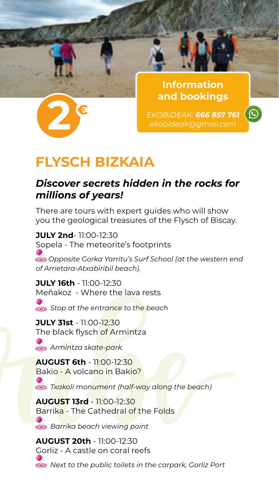

**Information and bookings**

 $\odot$ 

## **FLYSCH BIZKAIA**

### *Discover secrets hidden in the rocks for millions of years!*

There are tours with expert guides who will show you the geological treasures of the Flysch of Biscay.

**JULY 2nd**- 11:00-12:30 Sopela - The meteorite's footprints  *Opposite Gorka Yarritu's Surf School (at the western end of Arrietara-Atxabiribil beach).*

**JULY 16th** - 11:00-12:30 Meñakoz - Where the lava rests  *Stop at the entrance to the beach*

**JULY 31st** - 11:00-12:30 The black flysch of Armintza

 *Armintza skate-park.* 

**AUGUST 6th** - 11:00-12:30 Bakio - A volcano in Bakio?

 *Txakoli monument (half-way along the beach)*

**AUGUST 13rd** - 11:00-12:30 Barrika - The Cathedral of the Folds

 *Barrika beach viewing point*

**AUGUST 20th** - 11:00-12:30 Gorliz - A castle on coral reefs  *Next to the public toilets in the carpark, Gorliz Port*